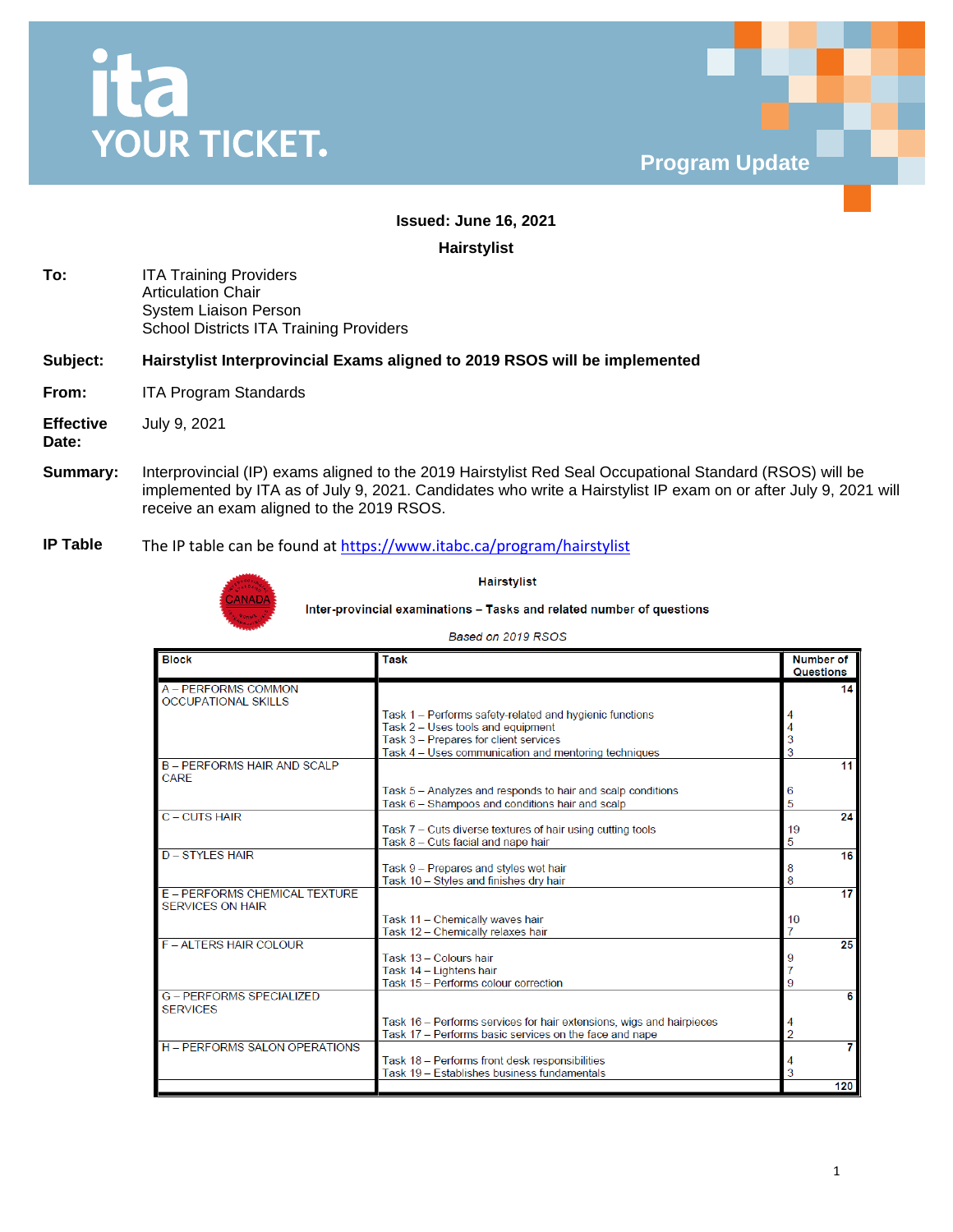



# **Issued: June 16, 2021**

**Hairstylist**

**To:** ITA Training Providers Articulation Chair System Liaison Person School Districts ITA Training Providers

#### **Subject: Hairstylist Interprovincial Exams aligned to 2019 RSOS will be implemented**

- **From:** ITA Program Standards
- **Effective**  July 9, 2021

**Date:**

- **Summary:** Interprovincial (IP) exams aligned to the 2019 Hairstylist Red Seal Occupational Standard (RSOS) will be implemented by ITA as of July 9, 2021. Candidates who write a Hairstylist IP exam on or after July 9, 2021 will receive an exam aligned to the 2019 RSOS.
- **IP Table** The IP table can be found at<https://www.itabc.ca/program/hairstylist>



**Hairstylist** 

Inter-provincial examinations - Tasks and related number of questions

#### Based on 2019 RSOS

| <b>Block</b>                                             | <b>Task</b>                                                                                                                    | <b>Number of</b><br>Questions |
|----------------------------------------------------------|--------------------------------------------------------------------------------------------------------------------------------|-------------------------------|
| A - PERFORMS COMMON                                      |                                                                                                                                | 14                            |
| <b>OCCUPATIONAL SKILLS</b>                               | Task 1 - Performs safety-related and hygienic functions                                                                        |                               |
|                                                          | Task 2 - Uses tools and equipment                                                                                              |                               |
|                                                          | Task 3 - Prepares for client services                                                                                          |                               |
|                                                          | Task 4 - Uses communication and mentoring techniques                                                                           |                               |
| <b>B-PERFORMS HAIR AND SCALP</b><br><b>CARE</b>          |                                                                                                                                | 11                            |
|                                                          | Task 5 - Analyzes and responds to hair and scalp conditions                                                                    | 6                             |
|                                                          | Task 6 - Shampoos and conditions hair and scalp                                                                                |                               |
| C - CUTS HAIR                                            |                                                                                                                                | 24                            |
|                                                          | Task 7 – Cuts diverse textures of hair using cutting tools<br>Task 8 - Cuts facial and nape hair                               | 19<br>5                       |
| <b>D-STYLES HAIR</b>                                     |                                                                                                                                | 16                            |
|                                                          | Task 9 - Prepares and styles wet hair                                                                                          | 8                             |
|                                                          | Task 10 - Styles and finishes dry hair                                                                                         |                               |
| E - PERFORMS CHEMICAL TEXTURE<br><b>SERVICES ON HAIR</b> |                                                                                                                                | 17                            |
|                                                          | Task 11 - Chemically waves hair                                                                                                | 10                            |
|                                                          | Task 12 - Chemically relaxes hair                                                                                              |                               |
| <b>F-ALTERS HAIR COLOUR</b>                              |                                                                                                                                | 25                            |
|                                                          | Task 13 - Colours hair                                                                                                         |                               |
|                                                          | Task 14 - Lightens hair<br>Task 15 - Performs colour correction                                                                |                               |
| <b>G - PERFORMS SPECIALIZED</b><br><b>SERVICES</b>       |                                                                                                                                | 6                             |
|                                                          | Task 16 - Performs services for hair extensions, wigs and hairpieces<br>Task 17 - Performs basic services on the face and nape |                               |
| <b>H - PERFORMS SALON OPERATIONS</b>                     |                                                                                                                                |                               |
|                                                          | Task 18 - Performs front desk responsibilities                                                                                 |                               |
|                                                          | Task 19 - Establishes business fundamentals                                                                                    |                               |
|                                                          |                                                                                                                                | 120                           |

1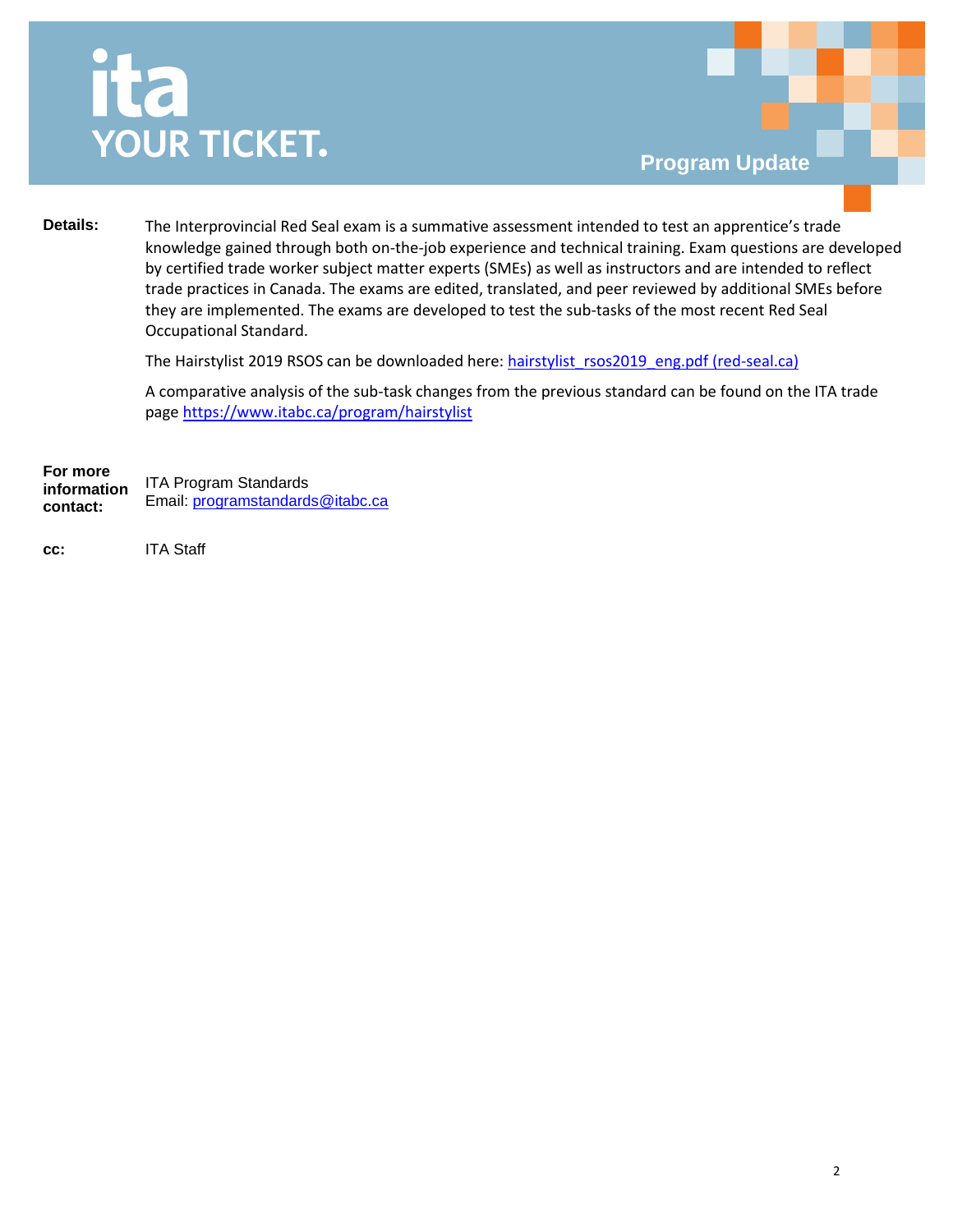# ita **YOUR TICKET.**

**Details:** The Interprovincial Red Seal exam is a summative assessment intended to test an apprentice's trade knowledge gained through both on-the-job experience and technical training. Exam questions are developed by certified trade worker subject matter experts (SMEs) as well as instructors and are intended to reflect trade practices in Canada. The exams are edited, translated, and peer reviewed by additional SMEs before they are implemented. The exams are developed to test the sub-tasks of the most recent Red Seal Occupational Standard.

The Hairstylist 2019 RSOS can be downloaded here: [hairstylist\\_rsos2019\\_eng.pdf \(red-seal.ca\)](http://www.red-seal.ca/docms/hairstylist_rsos2019_eng.pdf)

A comparative analysis of the sub-task changes from the previous standard can be found on the ITA trade page <https://www.itabc.ca/program/hairstylist>

**For more information contact:** ITA Program Standards Email: [programstandards@itabc.ca](mailto:programstandards@itabc.ca)

**cc:** ITA Staff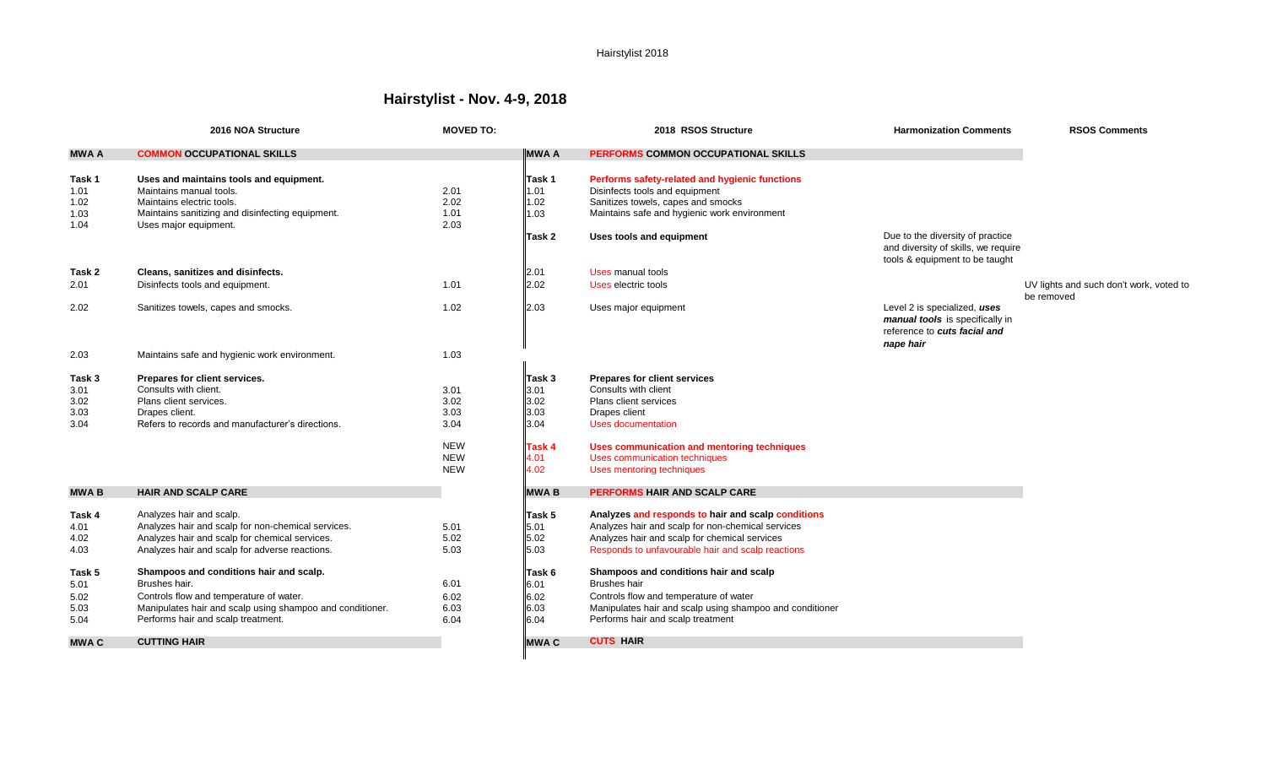# **Hairstylist - Nov. 4-9, 2018**

|                                        | 2016 NOA Structure                                                                                                                                                           | <b>MOVED TO:</b>             |                                | 2018 RSOS Structure                                                                                                                                                    | <b>Harmonization Comments</b>                                                                                | <b>RSOS Comments</b>                                  |
|----------------------------------------|------------------------------------------------------------------------------------------------------------------------------------------------------------------------------|------------------------------|--------------------------------|------------------------------------------------------------------------------------------------------------------------------------------------------------------------|--------------------------------------------------------------------------------------------------------------|-------------------------------------------------------|
| <b>MWA A</b>                           | <b>COMMON OCCUPATIONAL SKILLS</b>                                                                                                                                            |                              | <b>MWAA</b>                    | PERFORMS COMMON OCCUPATIONAL SKILLS                                                                                                                                    |                                                                                                              |                                                       |
| Task 1<br>1.01<br>1.02<br>1.03<br>1.04 | Uses and maintains tools and equipment.<br>Maintains manual tools.<br>Maintains electric tools.<br>Maintains sanitizing and disinfecting equipment.<br>Uses major equipment. | 2.01<br>2.02<br>1.01<br>2.03 | Task 1<br>1.01<br>1.02<br>1.03 | Performs safety-related and hygienic functions<br>Disinfects tools and equipment<br>Sanitizes towels, capes and smocks<br>Maintains safe and hygienic work environment |                                                                                                              |                                                       |
|                                        |                                                                                                                                                                              |                              | lTask 2                        | Uses tools and equipment                                                                                                                                               | Due to the diversity of practice<br>and diversity of skills, we require<br>tools & equipment to be taught    |                                                       |
| Task 2                                 | Cleans, sanitizes and disinfects.                                                                                                                                            |                              | 2.01                           | Uses manual tools                                                                                                                                                      |                                                                                                              |                                                       |
| 2.01                                   | Disinfects tools and equipment.                                                                                                                                              | 1.01                         | 2.02                           | Uses electric tools                                                                                                                                                    |                                                                                                              | UV lights and such don't work, voted to<br>be removed |
| 2.02                                   | Sanitizes towels, capes and smocks.                                                                                                                                          | 1.02                         | 2.03                           | Uses major equipment                                                                                                                                                   | Level 2 is specialized, uses<br>manual tools is specifically in<br>reference to cuts facial and<br>nape hair |                                                       |
| 2.03                                   | Maintains safe and hygienic work environment.                                                                                                                                | 1.03                         |                                |                                                                                                                                                                        |                                                                                                              |                                                       |
| Task 3                                 | Prepares for client services.                                                                                                                                                |                              | $\mathsf{T}$ ask 3             | <b>Prepares for client services</b>                                                                                                                                    |                                                                                                              |                                                       |
| 3.01                                   | Consults with client.                                                                                                                                                        | 3.01                         | 3.01                           | Consults with client                                                                                                                                                   |                                                                                                              |                                                       |
| 3.02                                   | Plans client services.                                                                                                                                                       | 3.02                         | 3.02                           | Plans client services                                                                                                                                                  |                                                                                                              |                                                       |
| 3.03                                   | Drapes client.                                                                                                                                                               | 3.03                         | 3.03                           | Drapes client                                                                                                                                                          |                                                                                                              |                                                       |
| 3.04                                   | Refers to records and manufacturer's directions.                                                                                                                             | 3.04                         | 3.04                           | <b>Uses documentation</b>                                                                                                                                              |                                                                                                              |                                                       |
|                                        |                                                                                                                                                                              | <b>NEW</b>                   | Task 4                         | Uses communication and mentoring techniques                                                                                                                            |                                                                                                              |                                                       |
|                                        |                                                                                                                                                                              | <b>NEW</b>                   | 4.01                           | Uses communication techniques                                                                                                                                          |                                                                                                              |                                                       |
|                                        |                                                                                                                                                                              | <b>NEW</b>                   | 4.02                           | Uses mentoring techniques                                                                                                                                              |                                                                                                              |                                                       |
| <b>MWAB</b>                            | <b>HAIR AND SCALP CARE</b>                                                                                                                                                   |                              | <b>MWAB</b>                    | <b>PERFORMS HAIR AND SCALP CARE</b>                                                                                                                                    |                                                                                                              |                                                       |
| Task 4                                 | Analyzes hair and scalp.                                                                                                                                                     |                              | Task 5                         | Analyzes and responds to hair and scalp conditions                                                                                                                     |                                                                                                              |                                                       |
| 4.01                                   | Analyzes hair and scalp for non-chemical services.                                                                                                                           | 5.01                         | 5.01                           | Analyzes hair and scalp for non-chemical services                                                                                                                      |                                                                                                              |                                                       |
| 4.02                                   | Analyzes hair and scalp for chemical services.                                                                                                                               | 5.02                         | 5.02                           | Analyzes hair and scalp for chemical services                                                                                                                          |                                                                                                              |                                                       |
| 4.03                                   | Analyzes hair and scalp for adverse reactions.                                                                                                                               | 5.03                         | 5.03                           | Responds to unfavourable hair and scalp reactions                                                                                                                      |                                                                                                              |                                                       |
| Task 5                                 | Shampoos and conditions hair and scalp.                                                                                                                                      |                              | Task 6                         | Shampoos and conditions hair and scalp                                                                                                                                 |                                                                                                              |                                                       |
| 5.01                                   | Brushes hair.                                                                                                                                                                | 6.01                         | 6.01                           | <b>Brushes hair</b>                                                                                                                                                    |                                                                                                              |                                                       |
| 5.02                                   | Controls flow and temperature of water.                                                                                                                                      | 6.02                         | 6.02                           | Controls flow and temperature of water                                                                                                                                 |                                                                                                              |                                                       |
| 5.03                                   | Manipulates hair and scalp using shampoo and conditioner.                                                                                                                    | 6.03                         | 6.03                           | Manipulates hair and scalp using shampoo and conditioner                                                                                                               |                                                                                                              |                                                       |
| 5.04                                   | Performs hair and scalp treatment.                                                                                                                                           | 6.04                         | 6.04                           | Performs hair and scalp treatment                                                                                                                                      |                                                                                                              |                                                       |
| <b>MWA C</b>                           | <b>CUTTING HAIR</b>                                                                                                                                                          |                              | <b>MWAC</b>                    | <b>CUTS HAIR</b>                                                                                                                                                       |                                                                                                              |                                                       |
|                                        |                                                                                                                                                                              |                              |                                |                                                                                                                                                                        |                                                                                                              |                                                       |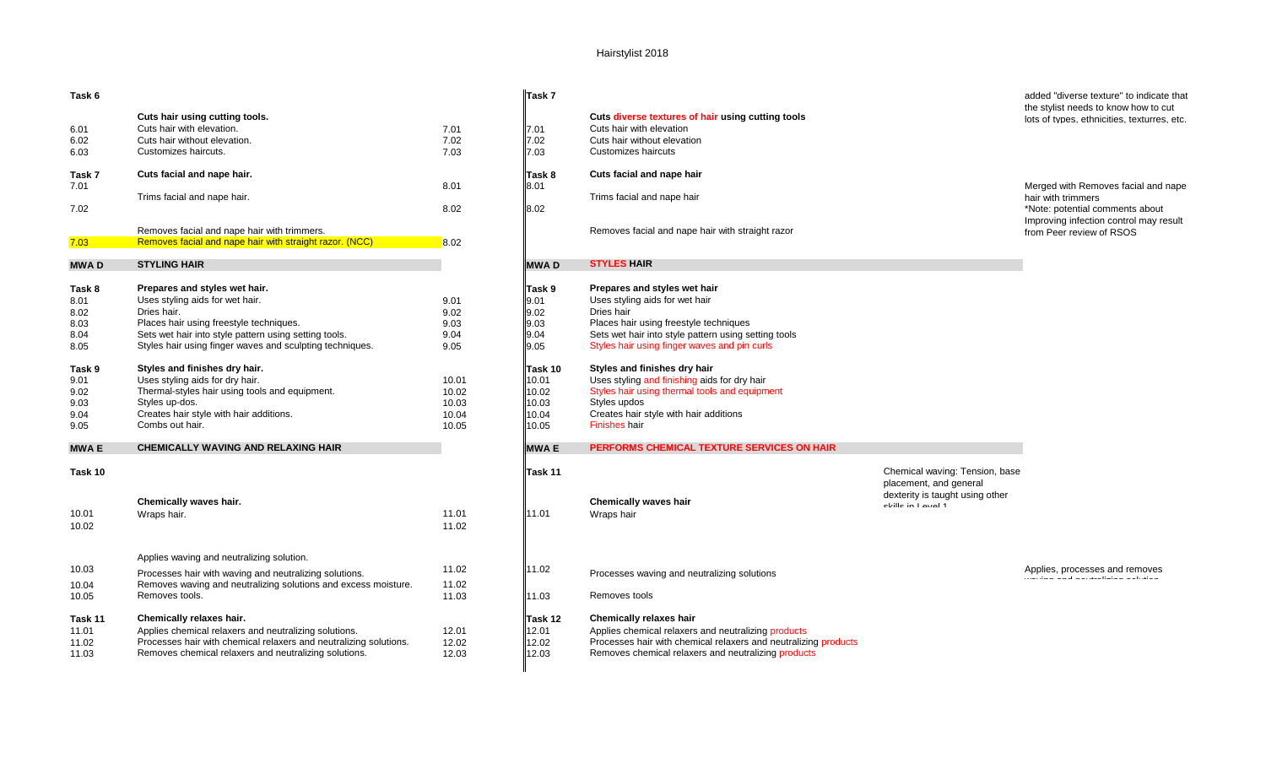| Task 6               |                                                                                                                     |                      | Task 7               |                                                                                                                                     |
|----------------------|---------------------------------------------------------------------------------------------------------------------|----------------------|----------------------|-------------------------------------------------------------------------------------------------------------------------------------|
| 6.01<br>6.02<br>6.03 | Cuts hair using cutting tools.<br>Cuts hair with elevation.<br>Cuts hair without elevation.<br>Customizes haircuts. | 7.01<br>7.02<br>7.03 | 7.01<br>7.02<br>7.03 | Cuts diverse textures of hair using cutting tools<br>Cuts hair with elevation<br>Cuts hair without elevation<br>Customizes haircuts |
| Task 7               | Cuts facial and nape hair.                                                                                          |                      | lTask 8              | Cuts facial and nape hair                                                                                                           |
| 7.01                 | Trims facial and nape hair.                                                                                         | 8.01                 | 8.01                 | Trims facial and nape hair                                                                                                          |
| 7.02                 |                                                                                                                     | 8.02                 | 8.02                 |                                                                                                                                     |
|                      | Removes facial and nape hair with trimmers.                                                                         |                      |                      | Removes facial and nape hair with straight razor                                                                                    |
| 7.03                 | Removes facial and nape hair with straight razor. (NCC)                                                             | 8.02                 |                      |                                                                                                                                     |
| MWA D                | <b>STYLING HAIR</b>                                                                                                 |                      | <b>MWAD</b>          | <b>STYLES HAIR</b>                                                                                                                  |
| Task 8               | Prepares and styles wet hair.                                                                                       |                      | lTask 9              | Prepares and styles wet hair                                                                                                        |
| 8.01                 | Uses styling aids for wet hair.                                                                                     | 9.01                 | 9.01                 | Uses styling aids for wet hair                                                                                                      |
| 8.02                 | Dries hair.                                                                                                         | 9.02                 | 9.02                 | Dries hair                                                                                                                          |
| 8.03                 | Places hair using freestyle techniques.                                                                             | 9.03                 | 9.03                 | Places hair using freestyle techniques                                                                                              |
| 8.04                 | Sets wet hair into style pattern using setting tools.                                                               | 9.04                 | 9.04                 | Sets wet hair into style pattern using setting tools                                                                                |
| 8.05                 | Styles hair using finger waves and sculpting techniques.                                                            | 9.05                 | 9.05                 | Styles hair using finger waves and pin curls                                                                                        |
| Task 9               | Styles and finishes dry hair.                                                                                       |                      | lTask 10             | Styles and finishes dry hair                                                                                                        |
| 9.01                 | Uses styling aids for dry hair.                                                                                     | 10.01                | 10.01                | Uses styling and finishing aids for dry hair                                                                                        |
| 9.02                 | Thermal-styles hair using tools and equipment.                                                                      | 10.02                | 10.02                | Styles hair using thermal tools and equipment                                                                                       |
| 9.03                 | Styles up-dos.                                                                                                      | 10.03                | 10.03                | Styles updos                                                                                                                        |
| 9.04                 | Creates hair style with hair additions.                                                                             | 10.04                | 10.04                | Creates hair style with hair additions                                                                                              |
| 9.05                 | Combs out hair.                                                                                                     | 10.05                | 10.05                | Finishes hair                                                                                                                       |
| MWA E                | <b>CHEMICALLY WAVING AND RELAXING HAIR</b>                                                                          |                      | <b>MWA E</b>         | PERFORMS CHEMICAL TEXTURE SERVICES ON HAIR                                                                                          |
| Task 10              |                                                                                                                     |                      | Task 11              |                                                                                                                                     |
|                      | Chemically waves hair.                                                                                              |                      |                      | <b>Chemically waves hair</b>                                                                                                        |
| 10.01                |                                                                                                                     | 11.01                | 11.01                |                                                                                                                                     |
|                      | Wraps hair.                                                                                                         |                      |                      | Wraps hair                                                                                                                          |
| 10.02                |                                                                                                                     | 11.02                |                      |                                                                                                                                     |
|                      | Applies waving and neutralizing solution.                                                                           |                      |                      |                                                                                                                                     |
| 10.03                | Processes hair with waving and neutralizing solutions.                                                              | 11.02                | 11.02                | Processes waving and neutralizing solutions                                                                                         |
| 10.04                | Removes waving and neutralizing solutions and excess moisture.                                                      | 11.02                |                      |                                                                                                                                     |
| 10.05                | Removes tools.                                                                                                      | 11.03                | 11.03                | Removes tools                                                                                                                       |
| Task 11              | Chemically relaxes hair.                                                                                            |                      | Task 12              | <b>Chemically relaxes hair</b>                                                                                                      |
| 11.01                | Applies chemical relaxers and neutralizing solutions.                                                               | 12.01                | 12.01                | Applies chemical relaxers and neutralizing products                                                                                 |
| 11.02                | Processes hair with chemical relaxers and neutralizing solutions.                                                   | 12.02                | 12.02                | Processes hair with chemical relaxers and neutralizing products                                                                     |
| 11.03                | Removes chemical relaxers and neutralizing solutions.                                                               | 12.03                | 12.03                | Removes chemical relaxers and neutralizing products                                                                                 |
|                      |                                                                                                                     |                      |                      |                                                                                                                                     |

| Task 6  |                                                                   |       | llTask 7    |                                                                 |                                                                                | added "diverse texture" to indicate that                                            |
|---------|-------------------------------------------------------------------|-------|-------------|-----------------------------------------------------------------|--------------------------------------------------------------------------------|-------------------------------------------------------------------------------------|
|         | Cuts hair using cutting tools.                                    |       |             | Cuts diverse textures of hair using cutting tools               |                                                                                | the stylist needs to know how to cut<br>lots of types, ethnicities, texturres, etc. |
| 6.01    | Cuts hair with elevation.                                         | 7.01  | 7.01        | Cuts hair with elevation                                        |                                                                                |                                                                                     |
| 6.02    | Cuts hair without elevation.                                      | 7.02  | 7.02        | Cuts hair without elevation                                     |                                                                                |                                                                                     |
|         |                                                                   |       |             |                                                                 |                                                                                |                                                                                     |
| 6.03    | Customizes haircuts.                                              | 7.03  | 7.03        | Customizes haircuts                                             |                                                                                |                                                                                     |
| Task 7  | Cuts facial and nape hair.                                        |       | Task 8      | Cuts facial and nape hair                                       |                                                                                |                                                                                     |
| 7.01    |                                                                   | 8.01  | 8.01        |                                                                 |                                                                                | Merged with Removes facial and nape                                                 |
|         | Trims facial and nape hair.                                       |       |             | Trims facial and nape hair                                      |                                                                                | hair with trimmers                                                                  |
| 7.02    |                                                                   | 8.02  | 8.02        |                                                                 |                                                                                | *Note: potential comments about                                                     |
|         |                                                                   |       |             |                                                                 |                                                                                | Improving infection control may result                                              |
|         | Removes facial and nape hair with trimmers.                       |       |             | Removes facial and nape hair with straight razor                |                                                                                | from Peer review of RSOS                                                            |
| 7.03    | Removes facial and nape hair with straight razor. (NCC)           | 8.02  |             |                                                                 |                                                                                |                                                                                     |
| MWA D   | <b>STYLING HAIR</b>                                               |       | <b>MWAD</b> | <b>STYLES HAIR</b>                                              |                                                                                |                                                                                     |
|         |                                                                   |       |             |                                                                 |                                                                                |                                                                                     |
| Task 8  | Prepares and styles wet hair.                                     |       | Task 9      | Prepares and styles wet hair                                    |                                                                                |                                                                                     |
| 8.01    | Uses styling aids for wet hair.                                   | 9.01  | 9.01        | Uses styling aids for wet hair                                  |                                                                                |                                                                                     |
| 8.02    | Dries hair.                                                       | 9.02  | 9.02        | Dries hair                                                      |                                                                                |                                                                                     |
| 8.03    | Places hair using freestyle techniques.                           | 9.03  | 9.03        | Places hair using freestyle techniques                          |                                                                                |                                                                                     |
| 8.04    | Sets wet hair into style pattern using setting tools.             | 9.04  | 9.04        | Sets wet hair into style pattern using setting tools            |                                                                                |                                                                                     |
| 8.05    | Styles hair using finger waves and sculpting techniques.          | 9.05  | 9.05        | Styles hair using finger waves and pin curls                    |                                                                                |                                                                                     |
| Task 9  | Styles and finishes dry hair.                                     |       | Task 10     | Styles and finishes dry hair                                    |                                                                                |                                                                                     |
| 9.01    | Uses styling aids for dry hair.                                   | 10.01 | 10.01       | Uses styling and finishing aids for dry hair                    |                                                                                |                                                                                     |
| 9.02    | Thermal-styles hair using tools and equipment.                    | 10.02 | 10.02       | Styles hair using thermal tools and equipment                   |                                                                                |                                                                                     |
| 9.03    | Styles up-dos.                                                    | 10.03 | 10.03       | Styles updos                                                    |                                                                                |                                                                                     |
|         |                                                                   |       |             |                                                                 |                                                                                |                                                                                     |
| 9.04    | Creates hair style with hair additions.                           | 10.04 | 10.04       | Creates hair style with hair additions                          |                                                                                |                                                                                     |
| 9.05    | Combs out hair.                                                   | 10.05 | 10.05       | Finishes hair                                                   |                                                                                |                                                                                     |
| MWA E   | <b>CHEMICALLY WAVING AND RELAXING HAIR</b>                        |       | <b>MWAE</b> | PERFORMS CHEMICAL TEXTURE SERVICES ON HAIR                      |                                                                                |                                                                                     |
| Task 10 |                                                                   |       | Task 11     |                                                                 | Chemical waving: Tension, base                                                 |                                                                                     |
|         | Chemically waves hair.                                            |       |             | <b>Chemically waves hair</b>                                    | placement, and general<br>dexterity is taught using other<br>abilia in Laugh 4 |                                                                                     |
| 10.01   | Wraps hair.                                                       | 11.01 | 11.01       | Wraps hair                                                      |                                                                                |                                                                                     |
| 10.02   |                                                                   | 11.02 |             |                                                                 |                                                                                |                                                                                     |
|         |                                                                   |       |             |                                                                 |                                                                                |                                                                                     |
|         | Applies waving and neutralizing solution.                         |       |             |                                                                 |                                                                                |                                                                                     |
| 10.03   | Processes hair with waving and neutralizing solutions.            | 11.02 | 11.02       | Processes waving and neutralizing solutions                     |                                                                                | Applies, processes and removes                                                      |
| 10.04   | Removes waving and neutralizing solutions and excess moisture.    | 11.02 |             |                                                                 |                                                                                | <b>Contractor</b>                                                                   |
|         | Removes tools.                                                    | 11.03 | 11.03       | Removes tools                                                   |                                                                                |                                                                                     |
| 10.05   |                                                                   |       |             |                                                                 |                                                                                |                                                                                     |
| Task 11 | Chemically relaxes hair.                                          |       | Task 12     | <b>Chemically relaxes hair</b>                                  |                                                                                |                                                                                     |
| 11.01   | Applies chemical relaxers and neutralizing solutions.             | 12.01 | 12.01       | Applies chemical relaxers and neutralizing products             |                                                                                |                                                                                     |
| 11.02   | Processes hair with chemical relaxers and neutralizing solutions. | 12.02 | 12.02       | Processes hair with chemical relaxers and neutralizing products |                                                                                |                                                                                     |
| 11.03   | Removes chemical relaxers and neutralizing solutions.             | 12.03 | 12.03       | Removes chemical relaxers and neutralizing products             |                                                                                |                                                                                     |
|         |                                                                   |       |             |                                                                 |                                                                                |                                                                                     |
|         |                                                                   |       |             |                                                                 |                                                                                |                                                                                     |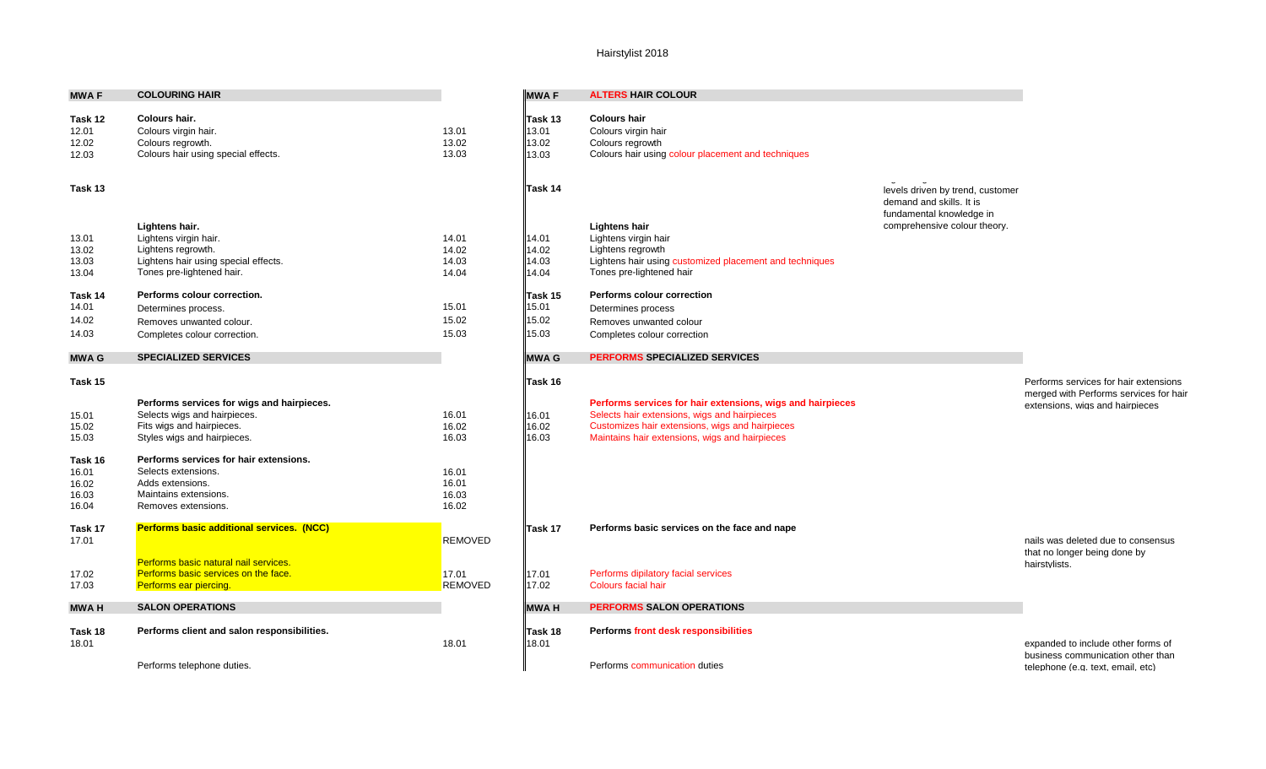| <b>MWAF</b>      | <b>COLOURING HAIR</b>                            |                | <b>MWAF</b>      | <b>ALTERS HAIR COLOUR</b>                               |
|------------------|--------------------------------------------------|----------------|------------------|---------------------------------------------------------|
| Task 12          | Colours hair.                                    |                | Task 13          | <b>Colours hair</b>                                     |
| 12.01            | Colours virgin hair.                             | 13.01          | 13.01            | Colours virgin hair                                     |
| 12.02            | Colours regrowth.                                | 13.02<br>13.03 | 13.02            | Colours regrowth                                        |
| 12.03            | Colours hair using special effects.              |                | 13.03            | Colours hair using colour placement and techniques      |
| Task 13          |                                                  |                | Task 14          |                                                         |
|                  | Lightens hair.                                   |                |                  | <b>Lightens hair</b>                                    |
| 13.01            | Lightens virgin hair.                            | 14.01          | 14.01            | Lightens virgin hair                                    |
| 13.02            | Lightens regrowth.                               | 14.02          | 14.02            | Lightens regrowth                                       |
| 13.03            | Lightens hair using special effects.             | 14.03          | 14.03            | Lightens hair using customized placement and techniques |
| 13.04            | Tones pre-lightened hair.                        | 14.04          | 14.04            | Tones pre-lightened hair                                |
| Task 14          | Performs colour correction.                      |                | Task 15          | <b>Performs colour correction</b>                       |
| 14.01            | Determines process.                              | 15.01          | 15.01            | Determines process                                      |
| 14.02            | Removes unwanted colour.                         | 15.02          | 15.02            | Removes unwanted colour                                 |
| 14.03            | Completes colour correction.                     | 15.03          | 15.03            | Completes colour correction                             |
| <b>MWAG</b>      | <b>SPECIALIZED SERVICES</b>                      |                | <b>MWAG</b>      | <b>PERFORMS SPECIALIZED SERVICES</b>                    |
| Task 15          |                                                  |                | Task 16          |                                                         |
|                  | Performs services for wigs and hairpieces.       |                |                  | Performs services for hair extensions, wigs and hairpi  |
| 15.01            | Selects wigs and hairpieces.                     | 16.01          | 16.01            | Selects hair extensions, wigs and hairpieces            |
| 15.02            | Fits wigs and hairpieces.                        | 16.02          | 16.02            | Customizes hair extensions, wigs and hairpieces         |
| 15.03            | Styles wigs and hairpieces.                      | 16.03          | 16.03            | Maintains hair extensions, wigs and hairpieces          |
| Task 16          | Performs services for hair extensions.           |                |                  |                                                         |
| 16.01            | Selects extensions.                              | 16.01          |                  |                                                         |
| 16.02            | Adds extensions.<br>Maintains extensions.        | 16.01          |                  |                                                         |
| 16.03<br>16.04   | Removes extensions.                              | 16.03<br>16.02 |                  |                                                         |
|                  |                                                  |                |                  |                                                         |
| Task 17<br>17.01 | <b>Performs basic additional services. (NCC)</b> | <b>REMOVED</b> | Task 17          | Performs basic services on the face and nape            |
|                  | Performs basic natural nail services.            |                |                  |                                                         |
| 17.02            | Performs basic services on the face.             | 17.01          | 17.01            | Performs dipilatory facial services                     |
| 17.03            | Performs ear piercing.                           | <b>REMOVED</b> | 17.02            | <b>Colours facial hair</b>                              |
|                  |                                                  |                |                  |                                                         |
| <b>MWAH</b>      | <b>SALON OPERATIONS</b>                          |                | <b>MWAH</b>      | <b>PERFORMS SALON OPERATIONS</b>                        |
| Task 18<br>18.01 | Performs client and salon responsibilities.      | 18.01          | Task 18<br>18.01 | Performs front desk responsibilities                    |
|                  | Performs telephone duties.                       |                |                  | Performs communication duties                           |

|                                  | <b>MWAF</b>                        | <b>ALTERS HAIR COLOUR</b>                                                                                                    |                                                                                          |                                                                                                                    |
|----------------------------------|------------------------------------|------------------------------------------------------------------------------------------------------------------------------|------------------------------------------------------------------------------------------|--------------------------------------------------------------------------------------------------------------------|
| 13.01<br>13.02<br>13.03          | Task 13<br>13.01<br>13.02<br>13.03 | <b>Colours hair</b><br>Colours virgin hair<br>Colours regrowth<br>Colours hair using colour placement and techniques         |                                                                                          |                                                                                                                    |
|                                  | Task 14                            |                                                                                                                              | levels driven by trend, customer<br>demand and skills. It is<br>fundamental knowledge in |                                                                                                                    |
| 14.01<br>14.02<br>14.03          | 14.01<br>14.02<br>14.03            | <b>Lightens hair</b><br>Lightens virgin hair<br>Lightens regrowth<br>Lightens hair using customized placement and techniques | comprehensive colour theory.                                                             |                                                                                                                    |
| 14.04                            | 14.04<br>lTask 15                  | Tones pre-lightened hair<br>Performs colour correction                                                                       |                                                                                          |                                                                                                                    |
| 15.01<br>15.02<br>15.03          | 15.01<br>15.02<br>15.03            | Determines process<br>Removes unwanted colour<br>Completes colour correction                                                 |                                                                                          |                                                                                                                    |
|                                  | <b>MWAG</b>                        | <b>PERFORMS SPECIALIZED SERVICES</b>                                                                                         |                                                                                          |                                                                                                                    |
| 16.01                            | Task 16<br>16.01                   | Performs services for hair extensions, wigs and hairpieces<br>Selects hair extensions, wigs and hairpieces                   |                                                                                          | Performs services for hair extensions<br>merged with Performs services for hair<br>extensions, wigs and hairpieces |
| 16.02<br>16.03                   | 16.02<br>16.03                     | Customizes hair extensions, wigs and hairpieces<br>Maintains hair extensions, wigs and hairpieces                            |                                                                                          |                                                                                                                    |
| 16.01<br>16.01<br>16.03<br>16.02 |                                    |                                                                                                                              |                                                                                          |                                                                                                                    |
| REMOVED                          | Task 17                            | Performs basic services on the face and nape                                                                                 |                                                                                          | nails was deleted due to consensus<br>that no longer being done by                                                 |
| 17.01<br>REMOVED                 | 17.01<br>17.02                     | Performs dipilatory facial services<br><b>Colours facial hair</b>                                                            |                                                                                          | hairstylists.                                                                                                      |
|                                  | <b>MWAH</b>                        | <b>PERFORMS SALON OPERATIONS</b>                                                                                             |                                                                                          |                                                                                                                    |
| 18.01                            | Task 18<br>18.01                   | Performs front desk responsibilities                                                                                         |                                                                                          | expanded to include other forms of<br>business communication other than                                            |
|                                  |                                    | Performs communication duties                                                                                                |                                                                                          | telephone (e.g. text, email, etc)                                                                                  |